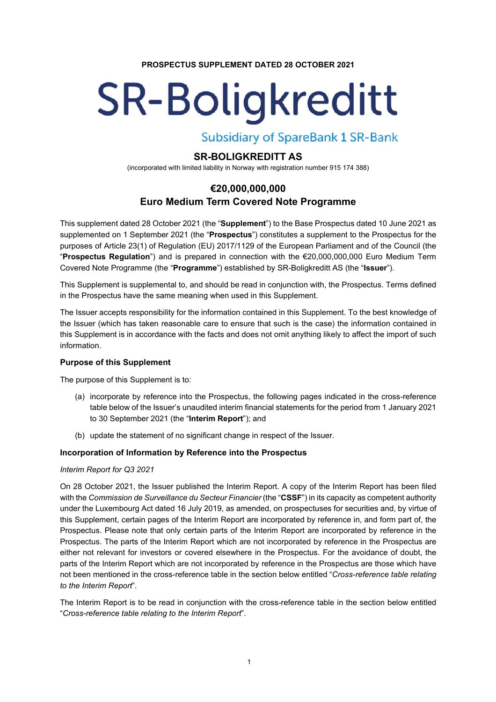#### **PROSPECTUS SUPPLEMENT DATED 28 OCTOBER 2021**

# **SR-Boligkreditt**

**Subsidiary of SpareBank 1 SR-Bank** 

# **SR-BOLIGKREDITT AS**

(incorporated with limited liability in Norway with registration number 915 174 388)

# **€20,000,000,000 Euro Medium Term Covered Note Programme**

This supplement dated 28 October 2021 (the "**Supplement**") to the Base Prospectus dated 10 June 2021 as supplemented on 1 September 2021 (the "**Prospectus**") constitutes a supplement to the Prospectus for the purposes of Article 23(1) of Regulation (EU) 2017/1129 of the European Parliament and of the Council (the "**Prospectus Regulation**") and is prepared in connection with the €20,000,000,000 Euro Medium Term Covered Note Programme (the "**Programme**") established by SR-Boligkreditt AS (the "**Issuer**").

This Supplement is supplemental to, and should be read in conjunction with, the Prospectus. Terms defined in the Prospectus have the same meaning when used in this Supplement.

The Issuer accepts responsibility for the information contained in this Supplement. To the best knowledge of the Issuer (which has taken reasonable care to ensure that such is the case) the information contained in this Supplement is in accordance with the facts and does not omit anything likely to affect the import of such information.

# **Purpose of this Supplement**

The purpose of this Supplement is to:

- (a) incorporate by reference into the Prospectus, the following pages indicated in the cross-reference table below of the Issuer's unaudited interim financial statements for the period from 1 January 2021 to 30 September 2021 (the "**Interim Report**"); and
- (b) update the statement of no significant change in respect of the Issuer.

# **Incorporation of Information by Reference into the Prospectus**

#### *Interim Report for Q3 2021*

On 28 October 2021, the Issuer published the Interim Report. A copy of the Interim Report has been filed with the *Commission de Surveillance du Secteur Financier* (the "**CSSF**") in its capacity as competent authority under the Luxembourg Act dated 16 July 2019, as amended, on prospectuses for securities and, by virtue of this Supplement, certain pages of the Interim Report are incorporated by reference in, and form part of, the Prospectus. Please note that only certain parts of the Interim Report are incorporated by reference in the Prospectus. The parts of the Interim Report which are not incorporated by reference in the Prospectus are either not relevant for investors or covered elsewhere in the Prospectus. For the avoidance of doubt, the parts of the Interim Report which are not incorporated by reference in the Prospectus are those which have not been mentioned in the cross-reference table in the section below entitled "*Cross-reference table relating to the Interim Report*".

The Interim Report is to be read in conjunction with the cross-reference table in the section below entitled "*Cross-reference table relating to the Interim Report*".